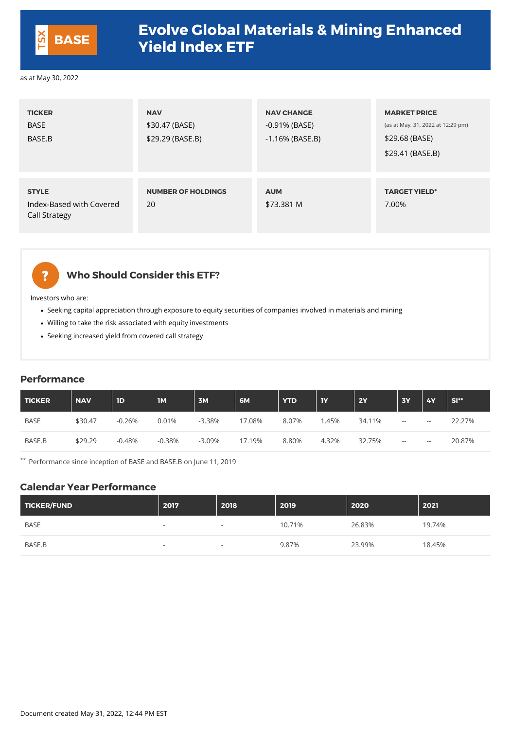| <b>TICKER</b><br><b>BASE</b><br>BASE.B                           | <b>NAV</b><br>\$30.47 (BASE)<br>\$29.29 (BASE.B) | <b>NAV CHANGE</b><br>$-0.91\%$ (BASE)<br>$-1.16\%$ (BASE.B) | <b>MARKET PRICE</b><br>(as at May. 31, 2022 at 12:29 pm)<br>\$29.68 (BASE)<br>\$29.41 (BASE.B) |
|------------------------------------------------------------------|--------------------------------------------------|-------------------------------------------------------------|------------------------------------------------------------------------------------------------|
| <b>STYLE</b><br>Index-Based with Covered<br><b>Call Strategy</b> | <b>NUMBER OF HOLDINGS</b><br>20                  | <b>AUM</b><br>\$73.381 M                                    | <b>TARGET YIELD*</b><br>7.00%                                                                  |



### **Who Should Consider this ETF?**

Investors who are:

- Seeking capital appreciation through exposure to equity securities of companies involved in materials and mining
- Willing to take the risk associated with equity investments
- Seeking increased yield from covered call strategy

#### **Performance**

| TICKER      | <b>NAV</b> | <b>ID</b> | <b>1M</b> | 3M       | 6M     | <b>YTD</b> | <b>1Y</b> | <b>2Y</b> | <b>3Y</b>                                | <b>4Y</b> | <b>SI**</b> |
|-------------|------------|-----------|-----------|----------|--------|------------|-----------|-----------|------------------------------------------|-----------|-------------|
| <b>BASE</b> | \$30.47    | $-0.26%$  | 0.01%     | $-3.38%$ | 17.08% | 8.07%      | 1.45%     | 34.11%    | $\hspace{0.05cm} \hspace{0.02cm} \cdots$ | $- -$     | 22.27%      |
| BASE.B      | \$29.29    | $-0.48%$  | $-0.38%$  | $-3.09%$ | 17.19% | 8.80%      | 4.32%     | 32.75%    | $- -$                                    | $- -$     | 20.87%      |

\*\* Performance since inception of BASE and BASE.B on June 11, 2019

#### **Calendar Year Performance**

| TICKER/FUND | 2017                     | 2018                     | 2019   | 2020   | 2021   |
|-------------|--------------------------|--------------------------|--------|--------|--------|
| <b>BASE</b> | $\overline{\phantom{a}}$ | $\overline{\phantom{0}}$ | 10.71% | 26.83% | 19.74% |
| BASE.B      | $\sim$                   |                          | 9.87%  | 23.99% | 18.45% |

Document created May 31, 2022, 12:44 PM EST



## **Evolve Global Materials & Mining Enhanced Yield Index ETF BASE**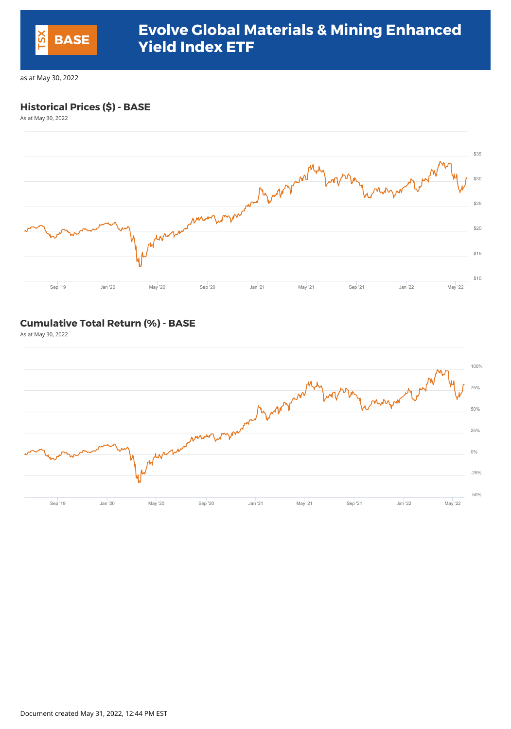#### **Historical Prices (\$) - BASE**

As at May 30, 2022



#### **Cumulative Total Return (%) - BASE**

As at May 30, 2022



Document created May 31, 2022, 12:44 PM EST



## **Evolve Global Materials & Mining Enhanced Yield Index ETF BASE**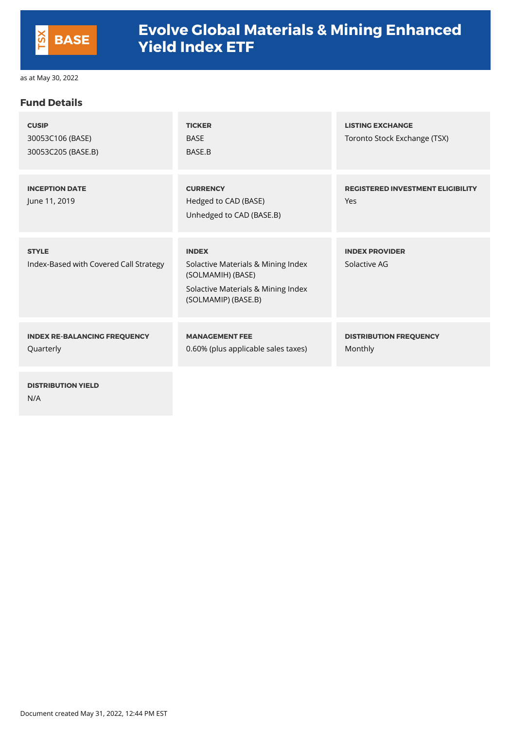#### **Fund Details**

| <b>CUSIP</b><br>30053C106 (BASE)<br>30053C205 (BASE.B) | <b>TICKER</b><br><b>BASE</b><br>BASE.B                                                                                               | <b>LISTING EXCHANGE</b><br>Toronto Stock Exchange (TSX) |
|--------------------------------------------------------|--------------------------------------------------------------------------------------------------------------------------------------|---------------------------------------------------------|
| <b>INCEPTION DATE</b><br>June 11, 2019                 | <b>CURRENCY</b><br>Hedged to CAD (BASE)<br>Unhedged to CAD (BASE.B)                                                                  | <b>REGISTERED INVESTMENT ELIGIBILITY</b><br>Yes         |
| <b>STYLE</b><br>Index-Based with Covered Call Strategy | <b>INDEX</b><br>Solactive Materials & Mining Index<br>(SOLMAMIH) (BASE)<br>Solactive Materials & Mining Index<br>(SOLMAMIP) (BASE.B) | <b>INDEX PROVIDER</b><br>Solactive AG                   |
| <b>INDEX RE-BALANCING FREQUENCY</b><br>Quarterly       | <b>MANAGEMENT FEE</b><br>0.60% (plus applicable sales taxes)                                                                         | <b>DISTRIBUTION FREQUENCY</b><br><b>Monthly</b>         |
| <b>DISTRIBUTION YIELD</b>                              |                                                                                                                                      |                                                         |

N/A

Document created May 31, 2022, 12:44 PM EST



# **Evolve Global Materials & Mining Enhanced Yield Index ETF BASE**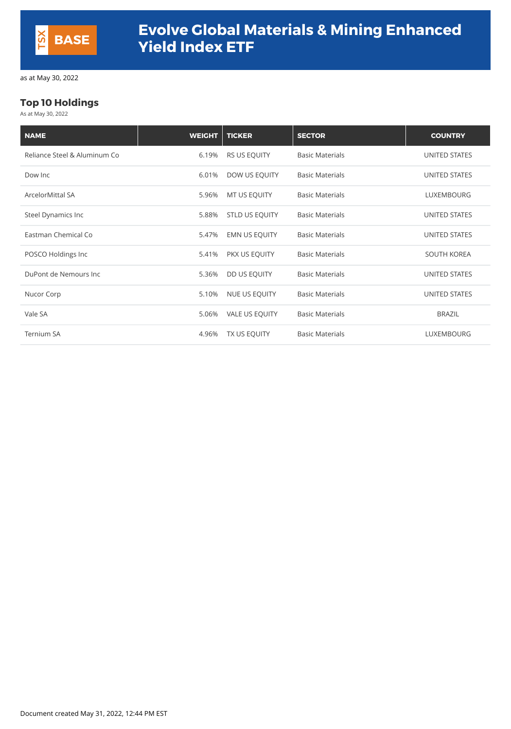## **Top 10 Holdings**

As at May 30, 2022

| <b>NAME</b>                  | <b>WEIGHT</b> | <b>TICKER</b>         | <b>SECTOR</b>          | <b>COUNTRY</b>       |
|------------------------------|---------------|-----------------------|------------------------|----------------------|
| Reliance Steel & Aluminum Co | 6.19%         | <b>RS US EQUITY</b>   | <b>Basic Materials</b> | <b>UNITED STATES</b> |
| Dow Inc                      | 6.01%         | DOW US EQUITY         | <b>Basic Materials</b> | <b>UNITED STATES</b> |
| <b>ArcelorMittal SA</b>      | 5.96%         | MT US EQUITY          | <b>Basic Materials</b> | <b>LUXEMBOURG</b>    |
| <b>Steel Dynamics Inc</b>    | 5.88%         | <b>STLD US EQUITY</b> | <b>Basic Materials</b> | <b>UNITED STATES</b> |
| Eastman Chemical Co          | 5.47%         | <b>EMN US EQUITY</b>  | <b>Basic Materials</b> | <b>UNITED STATES</b> |
| POSCO Holdings Inc           | 5.41%         | PKX US EQUITY         | <b>Basic Materials</b> | <b>SOUTH KOREA</b>   |
| DuPont de Nemours Inc        | 5.36%         | DD US EQUITY          | <b>Basic Materials</b> | <b>UNITED STATES</b> |
| Nucor Corp                   | 5.10%         | NUE US EQUITY         | <b>Basic Materials</b> | <b>UNITED STATES</b> |
| Vale SA                      | 5.06%         | <b>VALE US EQUITY</b> | <b>Basic Materials</b> | <b>BRAZIL</b>        |
| <b>Ternium SA</b>            | 4.96%         | TX US EQUITY          | <b>Basic Materials</b> | <b>LUXEMBOURG</b>    |

Document created May 31, 2022, 12:44 PM EST

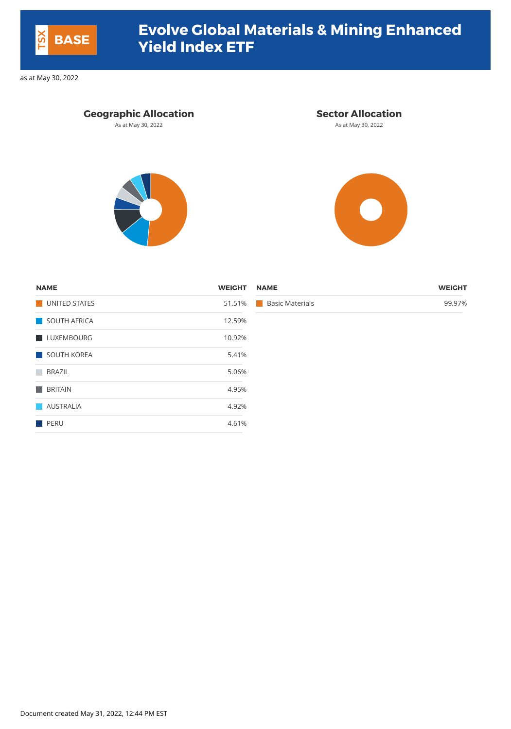#### **Geographic Allocation Sector Allocation**

As at May 30, 2022 **As at May 30, 2022** As at May 30, 2022





| .<br>.                           |
|----------------------------------|
| 51.51% Basic Materials<br>99.97% |
|                                  |
| .<br>12.59%                      |

| <b>NAME</b>    | <b>WEIGHT</b> | <b>NAME</b>                   | <b>WEIGHT</b> |
|----------------|---------------|-------------------------------|---------------|
| UNITED STATES  | 51.51%        | <b>Basic Materials</b><br>a a | 99.97%        |
| SOUTH AFRICA   | 12.59%        |                               |               |
| LUXEMBOURG     | 10.92%        |                               |               |
| SOUTH KOREA    | 5.41%         |                               |               |
| BRAZIL         | 5.06%         |                               |               |
| <b>BRITAIN</b> | 4.95%         |                               |               |
| AUSTRALIA      | 4.92%         |                               |               |
| PERU           | 4.61%         |                               |               |

Document created May 31, 2022, 12:44 PM EST



## **Evolve Global Materials & Mining Enhanced Yield Index ETF BASE**